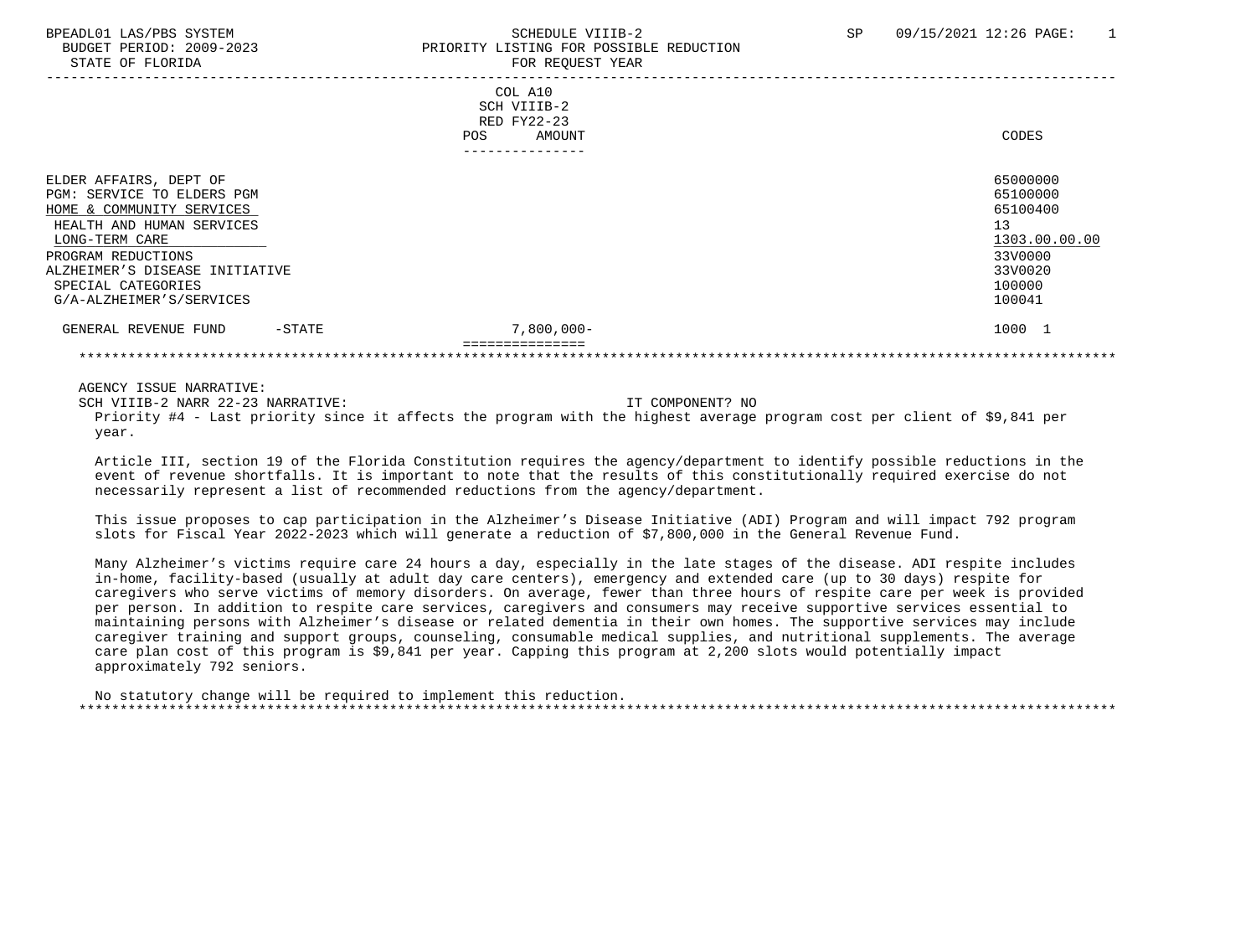| BUDGET PERIOD: 2009-2023<br>STATE OF FLORIDA |           | PRIORITY LISTING FOR POSSIBLE REDUCTION<br>FOR REQUEST YEAR |               |  |  |
|----------------------------------------------|-----------|-------------------------------------------------------------|---------------|--|--|
|                                              |           | COL A10                                                     |               |  |  |
|                                              |           | SCH VIIIB-2<br>RED FY22-23                                  |               |  |  |
|                                              |           | AMOUNT<br>POS                                               | CODES         |  |  |
|                                              |           | ---------------                                             |               |  |  |
| ELDER AFFAIRS, DEPT OF                       |           |                                                             | 65000000      |  |  |
| PGM: SERVICE TO ELDERS PGM                   |           |                                                             | 65100000      |  |  |
| HOME & COMMUNITY SERVICES                    |           |                                                             | 65100400      |  |  |
| HEALTH AND HUMAN SERVICES                    |           |                                                             | 13            |  |  |
| LONG-TERM CARE                               |           |                                                             | 1303.00.00.00 |  |  |
| PROGRAM REDUCTIONS                           |           |                                                             | 33V0000       |  |  |
| ALZHEIMER'S DISEASE INITIATIVE               |           |                                                             | 33V0020       |  |  |
| SPECIAL CATEGORIES                           |           |                                                             | 100000        |  |  |
| G/A-ALZHEIMER'S/SERVICES                     |           |                                                             | 100041        |  |  |
| GENERAL REVENUE FUND                         | $-$ STATE | $7,800,000 -$                                               | 1000 1        |  |  |
|                                              |           |                                                             |               |  |  |

AGENCY ISSUE NARRATIVE:

SCH VIIIB-2 NARR 22-23 NARRATIVE: IT COMPONENT? NO Priority #4 - Last priority since it affects the program with the highest average program cost per client of \$9,841 per year.

 Article III, section 19 of the Florida Constitution requires the agency/department to identify possible reductions in the event of revenue shortfalls. It is important to note that the results of this constitutionally required exercise do not necessarily represent a list of recommended reductions from the agency/department.

 This issue proposes to cap participation in the Alzheimer's Disease Initiative (ADI) Program and will impact 792 program slots for Fiscal Year 2022-2023 which will generate a reduction of \$7,800,000 in the General Revenue Fund.

 Many Alzheimer's victims require care 24 hours a day, especially in the late stages of the disease. ADI respite includes in-home, facility-based (usually at adult day care centers), emergency and extended care (up to 30 days) respite for caregivers who serve victims of memory disorders. On average, fewer than three hours of respite care per week is provided per person. In addition to respite care services, caregivers and consumers may receive supportive services essential to maintaining persons with Alzheimer's disease or related dementia in their own homes. The supportive services may include caregiver training and support groups, counseling, consumable medical supplies, and nutritional supplements. The average care plan cost of this program is \$9,841 per year. Capping this program at 2,200 slots would potentially impact approximately 792 seniors.

 No statutory change will be required to implement this reduction. \*\*\*\*\*\*\*\*\*\*\*\*\*\*\*\*\*\*\*\*\*\*\*\*\*\*\*\*\*\*\*\*\*\*\*\*\*\*\*\*\*\*\*\*\*\*\*\*\*\*\*\*\*\*\*\*\*\*\*\*\*\*\*\*\*\*\*\*\*\*\*\*\*\*\*\*\*\*\*\*\*\*\*\*\*\*\*\*\*\*\*\*\*\*\*\*\*\*\*\*\*\*\*\*\*\*\*\*\*\*\*\*\*\*\*\*\*\*\*\*\*\*\*\*\*\*\*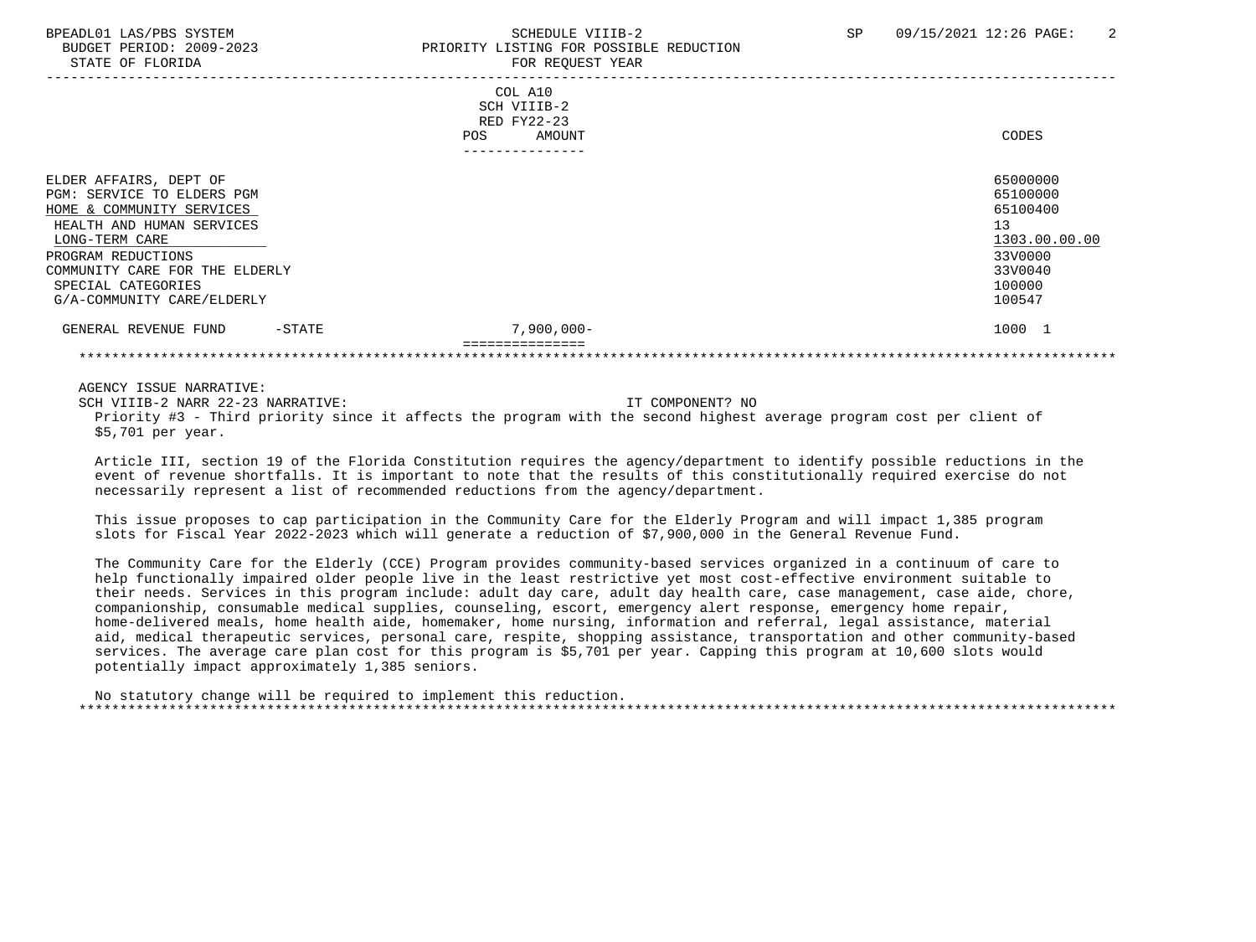BUDGET PERIOD: 2009-2023 PRIORITY LISTING FOR POSSIBLE REDUCTION STATE OF FLORIDA FOR REQUEST YEAR ----------------------------------------------------------------------------------------------------------------------------------- COL A10 SCH VIIIB-2 RED FY22-23 POS AMOUNT CODES --------------- ELDER AFFAIRS, DEPT OF 65000000 PGM: SERVICE TO ELDERS PGM<br>HOME & COMMUNITY SERVICES 65100400 HOME & COMMUNITY SERVICES HEALTH AND HUMAN SERVICES 13  $\underline{\text{LONG-TERM CARE}}$   $\underline{\text{1303.00.00}}$  PROGRAM REDUCTIONS 33V0000 COMMUNITY CARE FOR THE ELDERLY **ELECT AND SERVICE SERVICE SERVICE SERVICE SERVICE SERVICE SERVICE SERVICE SERVICE**<br>SPECIAL CATEGORIES 300000 SPECIAL CATEGORIES 100000 POSTAGORIES AND SERVICE SUPERFORMATION OF SERVICE SUPERFORMATION OF SUPERFORMATION OF SUPERFORMATION OF SUPERFORMATION OF SUPERFORMATION OF SUPERFORMATION OF SUPERFORMATION OF SUPERFORMATION OF SU G/A-COMMUNITY CARE/ELDERLY GENERAL REVENUE FUND -STATE  $7.900.000 -$  =============== \*\*\*\*\*\*\*\*\*\*\*\*\*\*\*\*\*\*\*\*\*\*\*\*\*\*\*\*\*\*\*\*\*\*\*\*\*\*\*\*\*\*\*\*\*\*\*\*\*\*\*\*\*\*\*\*\*\*\*\*\*\*\*\*\*\*\*\*\*\*\*\*\*\*\*\*\*\*\*\*\*\*\*\*\*\*\*\*\*\*\*\*\*\*\*\*\*\*\*\*\*\*\*\*\*\*\*\*\*\*\*\*\*\*\*\*\*\*\*\*\*\*\*\*\*\*\*

AGENCY ISSUE NARRATIVE:

SCH VIIIB-2 NARR 22-23 NARRATIVE: IT COMPONENT? NO Priority #3 - Third priority since it affects the program with the second highest average program cost per client of \$5,701 per year.

 Article III, section 19 of the Florida Constitution requires the agency/department to identify possible reductions in the event of revenue shortfalls. It is important to note that the results of this constitutionally required exercise do not necessarily represent a list of recommended reductions from the agency/department.

 This issue proposes to cap participation in the Community Care for the Elderly Program and will impact 1,385 program slots for Fiscal Year 2022-2023 which will generate a reduction of \$7,900,000 in the General Revenue Fund.

 The Community Care for the Elderly (CCE) Program provides community-based services organized in a continuum of care to help functionally impaired older people live in the least restrictive yet most cost-effective environment suitable to their needs. Services in this program include: adult day care, adult day health care, case management, case aide, chore, companionship, consumable medical supplies, counseling, escort, emergency alert response, emergency home repair, home-delivered meals, home health aide, homemaker, home nursing, information and referral, legal assistance, material aid, medical therapeutic services, personal care, respite, shopping assistance, transportation and other community-based services. The average care plan cost for this program is \$5,701 per year. Capping this program at 10,600 slots would potentially impact approximately 1,385 seniors.

 No statutory change will be required to implement this reduction. \*\*\*\*\*\*\*\*\*\*\*\*\*\*\*\*\*\*\*\*\*\*\*\*\*\*\*\*\*\*\*\*\*\*\*\*\*\*\*\*\*\*\*\*\*\*\*\*\*\*\*\*\*\*\*\*\*\*\*\*\*\*\*\*\*\*\*\*\*\*\*\*\*\*\*\*\*\*\*\*\*\*\*\*\*\*\*\*\*\*\*\*\*\*\*\*\*\*\*\*\*\*\*\*\*\*\*\*\*\*\*\*\*\*\*\*\*\*\*\*\*\*\*\*\*\*\*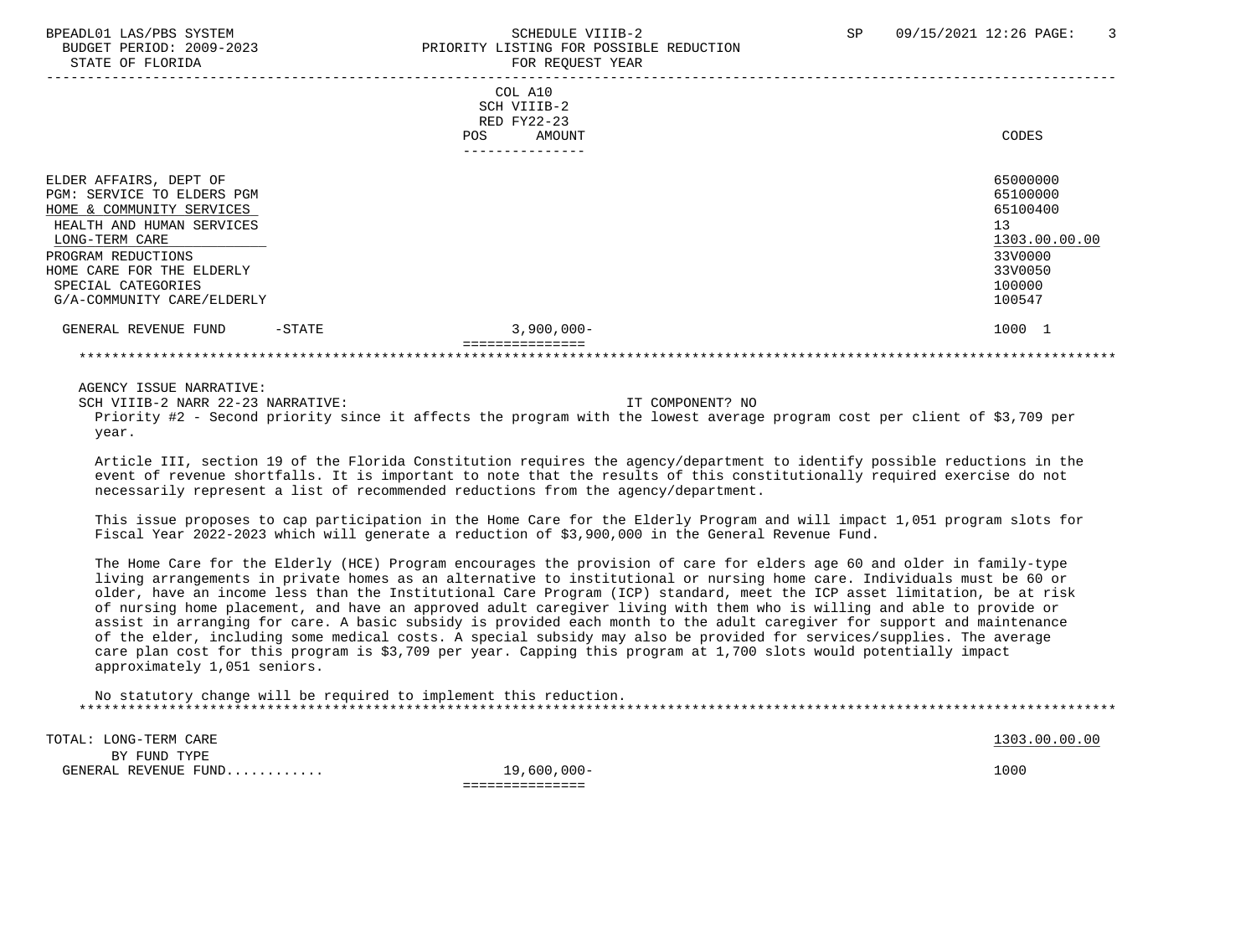BUDGET PERIOD: 2009-2023 PRIORITY LISTING FOR POSSIBLE REDUCTION STATE OF FLORIDA **FOR REQUEST YEAR**  ----------------------------------------------------------------------------------------------------------------------------------- COL A10 SCH VIIIB-2 RED FY22-23 POS AMOUNT CODES --------------- ELDER AFFAIRS, DEPT OF 65000000 ELDER AFFAIRS, DEPT OF 65000000 ELDER AFFAIRS, DEPT OF 65000000 ELDER AFFAIRS<br>PGM: SERVICE TO ELDERS PGM PGM: SERVICE TO ELDERS PGM<br>HOME & COMMUNITY SERVICES 65100000 HOME & COMMUNITY SERVICES HEALTH AND HUMAN SERVICES 13  $\underline{\text{LONG-TERM CARE}}$   $\underline{\text{1303.00.00}}$  PROGRAM REDUCTIONS 33V0000 HOME CARE FOR THE ELDERLY 33V0050<br>SPECIAL CATEGORIES 100000 SPECIAL CATEGORIES 100000 POSTAGORIES AND SERVICE SUPERFORMATION OF SERVICE SUPERFORMATION OF SUPERFORMATION OF SUPERFORMATION OF SUPERFORMATION OF SUPERFORMATION OF SUPERFORMATION OF SUPERFORMATION OF SUPERFORMATION OF SU G/A-COMMUNITY CARE/ELDERLY GENERAL REVENUE FUND -STATE  $3.900.000 -$  =============== \*\*\*\*\*\*\*\*\*\*\*\*\*\*\*\*\*\*\*\*\*\*\*\*\*\*\*\*\*\*\*\*\*\*\*\*\*\*\*\*\*\*\*\*\*\*\*\*\*\*\*\*\*\*\*\*\*\*\*\*\*\*\*\*\*\*\*\*\*\*\*\*\*\*\*\*\*\*\*\*\*\*\*\*\*\*\*\*\*\*\*\*\*\*\*\*\*\*\*\*\*\*\*\*\*\*\*\*\*\*\*\*\*\*\*\*\*\*\*\*\*\*\*\*\*\*\*

AGENCY ISSUE NARRATIVE:

SCH VIIIB-2 NARR 22-23 NARRATIVE: IT COMPONENT? NO Priority #2 - Second priority since it affects the program with the lowest average program cost per client of \$3,709 per year.

 Article III, section 19 of the Florida Constitution requires the agency/department to identify possible reductions in the event of revenue shortfalls. It is important to note that the results of this constitutionally required exercise do not necessarily represent a list of recommended reductions from the agency/department.

 This issue proposes to cap participation in the Home Care for the Elderly Program and will impact 1,051 program slots for Fiscal Year 2022-2023 which will generate a reduction of \$3,900,000 in the General Revenue Fund.

 The Home Care for the Elderly (HCE) Program encourages the provision of care for elders age 60 and older in family-type living arrangements in private homes as an alternative to institutional or nursing home care. Individuals must be 60 or older, have an income less than the Institutional Care Program (ICP) standard, meet the ICP asset limitation, be at risk of nursing home placement, and have an approved adult caregiver living with them who is willing and able to provide or assist in arranging for care. A basic subsidy is provided each month to the adult caregiver for support and maintenance of the elder, including some medical costs. A special subsidy may also be provided for services/supplies. The average care plan cost for this program is \$3,709 per year. Capping this program at 1,700 slots would potentially impact approximately 1,051 seniors.

 No statutory change will be required to implement this reduction. \*\*\*\*\*\*\*\*\*\*\*\*\*\*\*\*\*\*\*\*\*\*\*\*\*\*\*\*\*\*\*\*\*\*\*\*\*\*\*\*\*\*\*\*\*\*\*\*\*\*\*\*\*\*\*\*\*\*\*\*\*\*\*\*\*\*\*\*\*\*\*\*\*\*\*\*\*\*\*\*\*\*\*\*\*\*\*\*\*\*\*\*\*\*\*\*\*\*\*\*\*\*\*\*\*\*\*\*\*\*\*\*\*\*\*\*\*\*\*\*\*\*\*\*\*\*\*

TOTAL: LONG-TERM CARE 1303.00.00 PORT 200.00 PORT 200.00 PORT 200.00 PORT 200.00 PORT 200.00 PORT 200.00 PORT BY FUND TYPE GENERAL REVENUE FUND............ 19,600,000- 1000 ===============